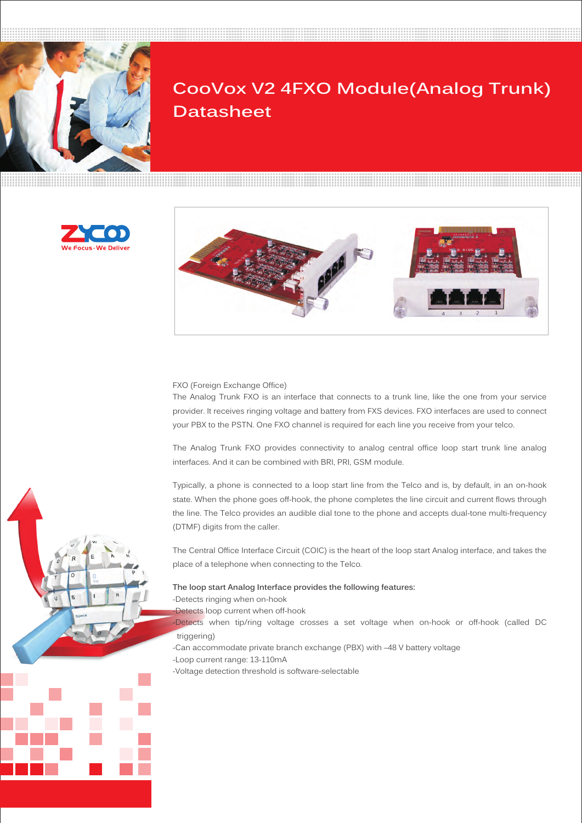

# **CooVox V2 4FXO Module(Analog Trunk) Datasheet**





FXO (Foreign Exchange Office)

The Analog Trunk FXO is an interface that connects to a trunk line, like the one from your service provider. It receives ringing voltage and battery from FXS devices. FXO interfaces are used to connect your PBX to the PSTN. One FXO channel is required for each line you receive from your telco.

The Analog Trunk FXO provides connectivity to analog central office loop start trunk line analog interfaces. And it can be combined with BRI, PRI, GSM module.

Typically, a phone is connected to a loop start line from the Telco and is, by default, in an on-hook state. When the phone goes off-hook, the phone completes the line circuit and current flows through the line. The Telco provides an audible dial tone to the phone and accepts dual-tone multi-frequency (DTMF) digits from the caller.

The Central Office Interface Circuit (COIC) is the heart of the loop start Analog interface, and takes the place of a telephone when connecting to the Telco.

#### **The loop start Analog Interface provides the following features:**

-Detects ringing when on-hook

-Detects loop current when off-hook

-Detects when tip/ring voltage crosses a set voltage when on-hook or off-hook (called DC triggering)

-Can accommodate private branch exchange (PBX) with –48 V battery voltage

- -Loop current range: 13-110mA
- -Voltage detection threshold is software-selectable